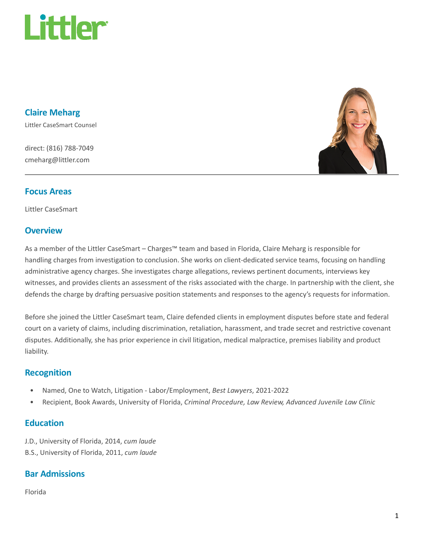

Claire Meharg Littler CaseSmart Counsel

direct: (816) 788-7049 cmeharg@littler.com



#### Focus Areas

Littler CaseSmart

### **Overview**

As a member of the Littler CaseSmart – Charges™ team and based in Florida, Claire Meharg is responsible for handling charges from investigation to conclusion. She works on client-dedicated service teams, focusing on handling administrative agency charges. She investigates charge allegations, reviews pertinent documents, interviews key witnesses, and provides clients an assessment of the risks associated with the charge. In partnership with the client, she defends the charge by drafting persuasive position statements and responses to the agency's requests for information.

Before she joined the Littler CaseSmart team, Claire defended clients in employment disputes before state and federal court on a variety of claims, including discrimination, retaliation, harassment, and trade secret and restrictive covenant disputes. Additionally, she has prior experience in civil litigation, medical malpractice, premises liability and product liability.

#### Recognition

- Named, One to Watch, Litigation Labor/Employment, Best Lawyers, 2021-2022
- Recipient, Book Awards, University of Florida, Criminal Procedure, Law Review, Advanced Juvenile Law Clinic

### **Education**

J.D., University of Florida, 2014, cum laude B.S., University of Florida, 2011, cum laude

## Bar Admissions

Florida